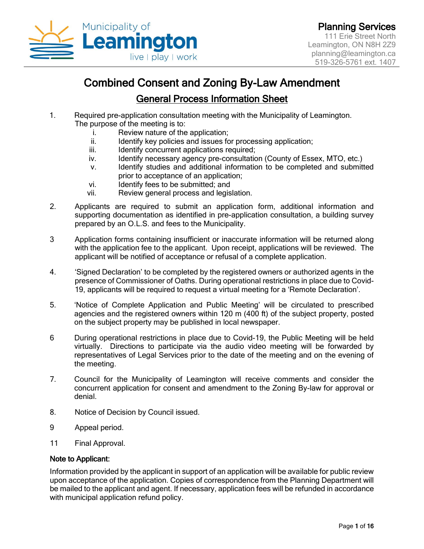

# Combined Consent and Zoning By-Law Amendment General Process Information Sheet

- 1. Required pre-application consultation meeting with the Municipality of Leamington. The purpose of the meeting is to:
	- i. Review nature of the application;<br>ii. ldentify key policies and issues fo
	- Identify key policies and issues for processing application;
	- iii. Identify concurrent applications required;
	- iv. Identify necessary agency pre-consultation (County of Essex, MTO, etc.)
	- v. Identify studies and additional information to be completed and submitted prior to acceptance of an application;
	- vi. Identify fees to be submitted; and
	- vii. Review general process and legislation.
- 2. Applicants are required to submit an application form, additional information and supporting documentation as identified in pre-application consultation, a building survey prepared by an O.L.S. and fees to the Municipality.
- 3 Application forms containing insufficient or inaccurate information will be returned along with the application fee to the applicant. Upon receipt, applications will be reviewed. The applicant will be notified of acceptance or refusal of a complete application.
- 4. 'Signed Declaration' to be completed by the registered owners or authorized agents in the presence of Commissioner of Oaths. During operational restrictions in place due to Covid-19, applicants will be required to request a virtual meeting for a 'Remote Declaration'.
- 5. 'Notice of Complete Application and Public Meeting' will be circulated to prescribed agencies and the registered owners within 120 m (400 ft) of the subject property, posted on the subject property may be published in local newspaper.
- 6 During operational restrictions in place due to Covid-19, the Public Meeting will be held virtually. Directions to participate via the audio video meeting will be forwarded by representatives of Legal Services prior to the date of the meeting and on the evening of the meeting.
- 7. Council for the Municipality of Leamington will receive comments and consider the concurrent application for consent and amendment to the Zoning By-law for approval or denial.
- 8. Notice of Decision by Council issued.
- 9 Appeal period.
- 11 Final Approval.

#### Note to Applicant:

Information provided by the applicant in support of an application will be available for public review upon acceptance of the application. Copies of correspondence from the Planning Department will be mailed to the applicant and agent. If necessary, application fees will be refunded in accordance with municipal application refund policy.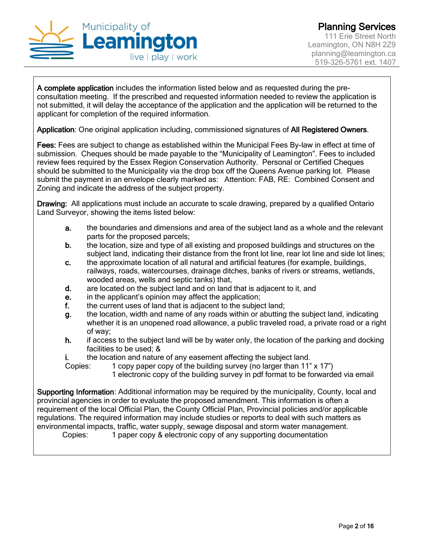

A complete application includes the information listed below and as requested during the preconsultation meeting. If the prescribed and requested information needed to review the application is not submitted, it will delay the acceptance of the application and the application will be returned to the applicant for completion of the required information.

Application: One original application including, commissioned signatures of All Registered Owners.

Fees: Fees are subject to change as established within the Municipal Fees By-law in effect at time of submission. Cheques should be made payable to the "Municipality of Leamington". Fees to included review fees required by the Essex Region Conservation Authority. Personal or Certified Cheques should be submitted to the Municipality via the drop box off the Queens Avenue parking lot. Please submit the payment in an envelope clearly marked as: Attention: FAB, RE: Combined Consent and Zoning and indicate the address of the subject property.

Drawing: All applications must include an accurate to scale drawing, prepared by a qualified Ontario Land Surveyor, showing the items listed below:

- a. the boundaries and dimensions and area of the subject land as a whole and the relevant parts for the proposed parcels;
- b. the location, size and type of all existing and proposed buildings and structures on the subject land, indicating their distance from the front lot line, rear lot line and side lot lines;
- c. the approximate location of all natural and artificial features (for example, buildings, railways, roads, watercourses, drainage ditches, banks of rivers or streams, wetlands, wooded areas, wells and septic tanks) that,
- d. are located on the subject land and on land that is adjacent to it, and
- e. in the applicant's opinion may affect the application;
- f. the current uses of land that is adjacent to the subject land;
- g. the location, width and name of any roads within or abutting the subject land, indicating whether it is an unopened road allowance, a public traveled road, a private road or a right of way;
- h. if access to the subject land will be by water only, the location of the parking and docking facilities to be used; &
- i. the location and nature of any easement affecting the subject land.

Copies: 1 copy paper copy of the building survey (no larger than 11" x 17") 1 electronic copy of the building survey in pdf format to be forwarded via email

Supporting Information: Additional information may be required by the municipality, County, local and provincial agencies in order to evaluate the proposed amendment. This information is often a requirement of the local Official Plan, the County Official Plan, Provincial policies and/or applicable regulations. The required information may include studies or reports to deal with such matters as environmental impacts, traffic, water supply, sewage disposal and storm water management.

Copies: 1 paper copy & electronic copy of any supporting documentation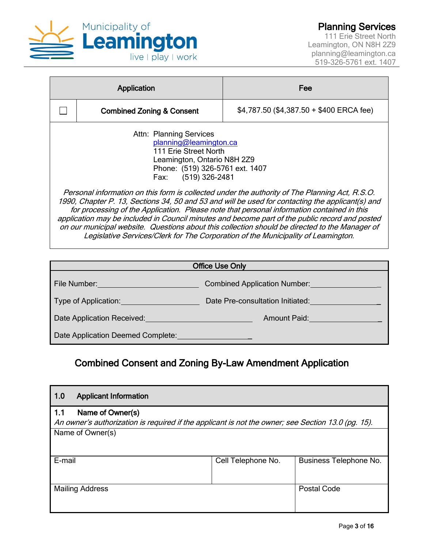

| Application                                                                                                                                                                                                                                                                                                                                                                                                                                                                                                                                                                                                                                                                        |                                      | Fee                                       |
|------------------------------------------------------------------------------------------------------------------------------------------------------------------------------------------------------------------------------------------------------------------------------------------------------------------------------------------------------------------------------------------------------------------------------------------------------------------------------------------------------------------------------------------------------------------------------------------------------------------------------------------------------------------------------------|--------------------------------------|-------------------------------------------|
|                                                                                                                                                                                                                                                                                                                                                                                                                                                                                                                                                                                                                                                                                    | <b>Combined Zoning &amp; Consent</b> | $$4,787.50$ (\$4,387.50 + \$400 ERCA fee) |
| <b>Attn: Planning Services</b><br>planning@leamington.ca<br>111 Erie Street North<br>Leamington, Ontario N8H 2Z9<br>Phone: (519) 326-5761 ext. 1407<br>Fax: (519) 326-2481<br>Personal information on this form is collected under the authority of The Planning Act, R.S.O.<br>1990, Chapter P. 13, Sections 34, 50 and 53 and will be used for contacting the applicant(s) and<br>for processing of the Application. Please note that personal information contained in this<br>application may be included in Council minutes and become part of the public record and posted<br>on our municipal website. Questions about this collection should be directed to the Manager of |                                      |                                           |

| <b>Office Use Only</b>            |                                     |  |
|-----------------------------------|-------------------------------------|--|
| File Number:                      | <b>Combined Application Number:</b> |  |
| Type of Application:              | Date Pre-consultation Initiated:    |  |
| Date Application Received:        | <b>Amount Paid:</b>                 |  |
| Date Application Deemed Complete: |                                     |  |

### Combined Consent and Zoning By-Law Amendment Application

| 1.0    | <b>Applicant Information</b>                                                                                           |                    |                        |
|--------|------------------------------------------------------------------------------------------------------------------------|--------------------|------------------------|
| 1.1    | Name of Owner(s)<br>An owner's authorization is required if the applicant is not the owner; see Section 13.0 (pg. 15). |                    |                        |
|        | Name of Owner(s)                                                                                                       |                    |                        |
| E-mail |                                                                                                                        | Cell Telephone No. | Business Telephone No. |
|        | <b>Mailing Address</b>                                                                                                 |                    | <b>Postal Code</b>     |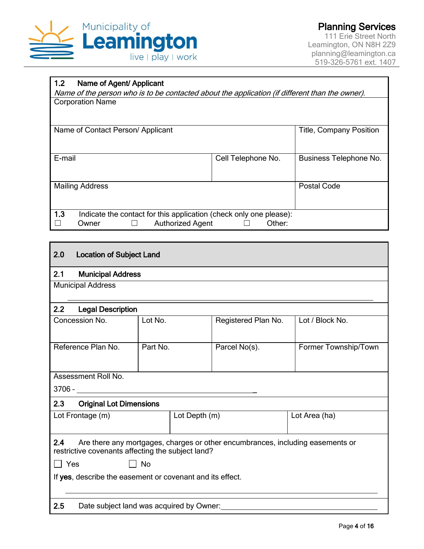

### 1.2 Name of Agent/ Applicant

Name of the person who is to be contacted about the application (if different than the owner). Corporation Name

| Name of Contact Person/ Applicant                                         |                                |  |
|---------------------------------------------------------------------------|--------------------------------|--|
|                                                                           | <b>Title, Company Position</b> |  |
|                                                                           |                                |  |
| Cell Telephone No.                                                        | Business Telephone No.         |  |
|                                                                           |                                |  |
|                                                                           |                                |  |
| <b>Mailing Address</b>                                                    |                                |  |
|                                                                           |                                |  |
|                                                                           |                                |  |
| 1.3<br>Indicate the contact for this application (check only one please): |                                |  |
| Other:                                                                    |                                |  |
|                                                                           | <b>Authorized Agent</b>        |  |

### 2.0 Location of Subject Land

| 2.1<br><b>Municipal Address</b>                                                       |               |                     |                      |
|---------------------------------------------------------------------------------------|---------------|---------------------|----------------------|
| <b>Municipal Address</b>                                                              |               |                     |                      |
|                                                                                       |               |                     |                      |
| 2.2<br><b>Legal Description</b>                                                       |               |                     |                      |
| Concession No.                                                                        | Lot No.       | Registered Plan No. | Lot / Block No.      |
|                                                                                       |               |                     |                      |
| Reference Plan No.                                                                    | Part No.      | Parcel No(s).       | Former Township/Town |
|                                                                                       |               |                     |                      |
|                                                                                       |               |                     |                      |
| Assessment Roll No.                                                                   |               |                     |                      |
| 3706 -                                                                                |               |                     |                      |
| <b>Original Lot Dimensions</b><br>2.3                                                 |               |                     |                      |
| Lot Frontage (m)                                                                      | Lot Depth (m) |                     | Lot Area (ha)        |
|                                                                                       |               |                     |                      |
| 2.4<br>Are there any mortgages, charges or other encumbrances, including easements or |               |                     |                      |
| restrictive covenants affecting the subject land?                                     |               |                     |                      |
| $\Box$ Yes<br>No                                                                      |               |                     |                      |
| If yes, describe the easement or covenant and its effect.                             |               |                     |                      |
|                                                                                       |               |                     |                      |
|                                                                                       |               |                     |                      |
| 2.5<br>Date subject land was acquired by Owner:                                       |               |                     |                      |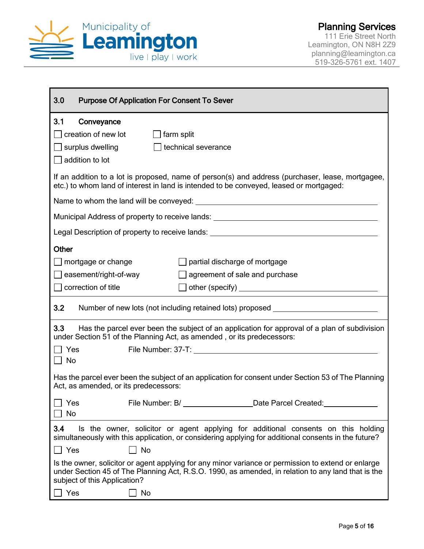

| 3.0<br><b>Purpose Of Application For Consent To Sever</b>                                                                                                                                                                                 |  |  |
|-------------------------------------------------------------------------------------------------------------------------------------------------------------------------------------------------------------------------------------------|--|--|
| 3.1<br>Conveyance<br>$\Box$ creation of new lot<br>$\Box$ farm split<br>$\Box$ technical severance<br>$\Box$ surplus dwelling<br>$\Box$ addition to lot                                                                                   |  |  |
| If an addition to a lot is proposed, name of person(s) and address (purchaser, lease, mortgagee,<br>etc.) to whom land of interest in land is intended to be conveyed, leased or mortgaged:                                               |  |  |
|                                                                                                                                                                                                                                           |  |  |
| Municipal Address of property to receive lands: ________________________________                                                                                                                                                          |  |  |
| Legal Description of property to receive lands: ________________________________                                                                                                                                                          |  |  |
| <b>Other</b>                                                                                                                                                                                                                              |  |  |
| $\Box$ mortgage or change<br>partial discharge of mortgage                                                                                                                                                                                |  |  |
| easement/right-of-way<br>agreement of sale and purchase                                                                                                                                                                                   |  |  |
| $\Box$ correction of title                                                                                                                                                                                                                |  |  |
| 3.2<br>Number of new lots (not including retained lots) proposed ______________________                                                                                                                                                   |  |  |
| 3.3<br>Has the parcel ever been the subject of an application for approval of a plan of subdivision<br>under Section 51 of the Planning Act, as amended, or its predecessors:                                                             |  |  |
| Yes<br>$\Box$ No                                                                                                                                                                                                                          |  |  |
| Has the parcel ever been the subject of an application for consent under Section 53 of The Planning<br>Act, as amended, or its predecessors:                                                                                              |  |  |
| □ Yes File Number: B/<br>Date Parcel Created:<br>No                                                                                                                                                                                       |  |  |
| 3.4<br>Is the owner, solicitor or agent applying for additional consents on this holding<br>simultaneously with this application, or considering applying for additional consents in the future?                                          |  |  |
| $\Box$ Yes<br>$\Box$ No                                                                                                                                                                                                                   |  |  |
| Is the owner, solicitor or agent applying for any minor variance or permission to extend or enlarge<br>under Section 45 of The Planning Act, R.S.O. 1990, as amended, in relation to any land that is the<br>subject of this Application? |  |  |
| Yes<br>No                                                                                                                                                                                                                                 |  |  |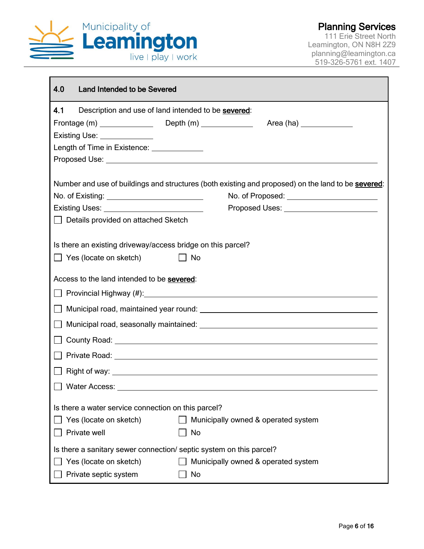

| 4.0<br><b>Land Intended to be Severed</b>                           |                                                                                                                   |
|---------------------------------------------------------------------|-------------------------------------------------------------------------------------------------------------------|
| 4.1<br>Description and use of land intended to be severed:          |                                                                                                                   |
|                                                                     |                                                                                                                   |
| Existing Use: ______________                                        |                                                                                                                   |
| Length of Time in Existence: ______________                         |                                                                                                                   |
|                                                                     |                                                                                                                   |
|                                                                     | Number and use of buildings and structures (both existing and proposed) on the land to be severed:                |
| No. of Existing: ___________________________                        |                                                                                                                   |
|                                                                     |                                                                                                                   |
| Details provided on attached Sketch                                 |                                                                                                                   |
| Is there an existing driveway/access bridge on this parcel?         |                                                                                                                   |
| $\Box$ Yes (locate on sketch)                                       | No                                                                                                                |
|                                                                     |                                                                                                                   |
| Access to the land intended to be severed:                          |                                                                                                                   |
|                                                                     |                                                                                                                   |
|                                                                     |                                                                                                                   |
|                                                                     |                                                                                                                   |
|                                                                     | County Road: Law County Road: Law County Road: Law County Road: Law County Road: Law County Road: Law County Road |
|                                                                     |                                                                                                                   |
|                                                                     |                                                                                                                   |
| <b>Water Access:</b>                                                |                                                                                                                   |
| Is there a water service connection on this parcel?                 |                                                                                                                   |
| Yes (locate on sketch)                                              | Municipally owned & operated system                                                                               |
| Private well                                                        | No                                                                                                                |
| Is there a sanitary sewer connection/ septic system on this parcel? |                                                                                                                   |
| Yes (locate on sketch)                                              | Municipally owned & operated system                                                                               |
| Private septic system                                               | No                                                                                                                |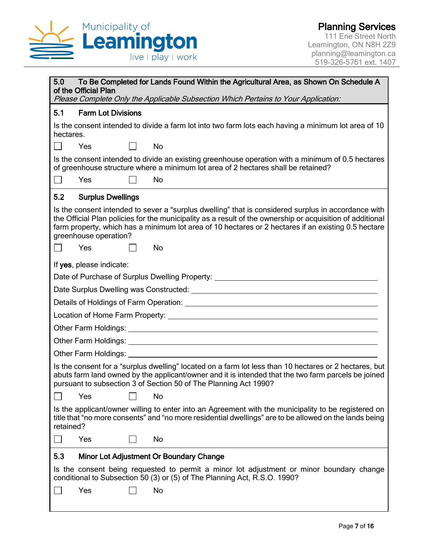

| To Be Completed for Lands Found Within the Agricultural Area, as Shown On Schedule A<br>5.0                                                                                                                                                                                                                                                      |
|--------------------------------------------------------------------------------------------------------------------------------------------------------------------------------------------------------------------------------------------------------------------------------------------------------------------------------------------------|
| of the Official Plan<br>Please Complete Only the Applicable Subsection Which Pertains to Your Application:                                                                                                                                                                                                                                       |
| 5.1<br><b>Farm Lot Divisions</b>                                                                                                                                                                                                                                                                                                                 |
| Is the consent intended to divide a farm lot into two farm lots each having a minimum lot area of 10<br>hectares.                                                                                                                                                                                                                                |
| No<br>Yes                                                                                                                                                                                                                                                                                                                                        |
| Is the consent intended to divide an existing greenhouse operation with a minimum of 0.5 hectares<br>of greenhouse structure where a minimum lot area of 2 hectares shall be retained?                                                                                                                                                           |
| Yes<br>No<br>$\vert \ \ \vert$                                                                                                                                                                                                                                                                                                                   |
| 5.2<br><b>Surplus Dwellings</b>                                                                                                                                                                                                                                                                                                                  |
| Is the consent intended to sever a "surplus dwelling" that is considered surplus in accordance with<br>the Official Plan policies for the municipality as a result of the ownership or acquisition of additional<br>farm property, which has a minimum lot area of 10 hectares or 2 hectares if an existing 0.5 hectare<br>greenhouse operation? |
| Yes<br>No                                                                                                                                                                                                                                                                                                                                        |
| If yes, please indicate:                                                                                                                                                                                                                                                                                                                         |
| Date of Purchase of Surplus Dwelling Property: _________________________________                                                                                                                                                                                                                                                                 |
|                                                                                                                                                                                                                                                                                                                                                  |
|                                                                                                                                                                                                                                                                                                                                                  |
|                                                                                                                                                                                                                                                                                                                                                  |
|                                                                                                                                                                                                                                                                                                                                                  |
|                                                                                                                                                                                                                                                                                                                                                  |
|                                                                                                                                                                                                                                                                                                                                                  |
| Is the consent for a "surplus dwelling" located on a farm lot less than 10 hectares or 2 hectares, but<br>abuts farm land owned by the applicant/owner and it is intended that the two farm parcels be joined<br>pursuant to subsection 3 of Section 50 of The Planning Act 1990?                                                                |
| Yes<br>No                                                                                                                                                                                                                                                                                                                                        |
| Is the applicant/owner willing to enter into an Agreement with the municipality to be registered on<br>title that "no more consents" and "no more residential dwellings" are to be allowed on the lands being<br>retained?                                                                                                                       |
| Yes<br>No                                                                                                                                                                                                                                                                                                                                        |
| 5.3<br><b>Minor Lot Adjustment Or Boundary Change</b>                                                                                                                                                                                                                                                                                            |
| Is the consent being requested to permit a minor lot adjustment or minor boundary change<br>conditional to Subsection 50 (3) or (5) of The Planning Act, R.S.O. 1990?                                                                                                                                                                            |
| Yes<br>No                                                                                                                                                                                                                                                                                                                                        |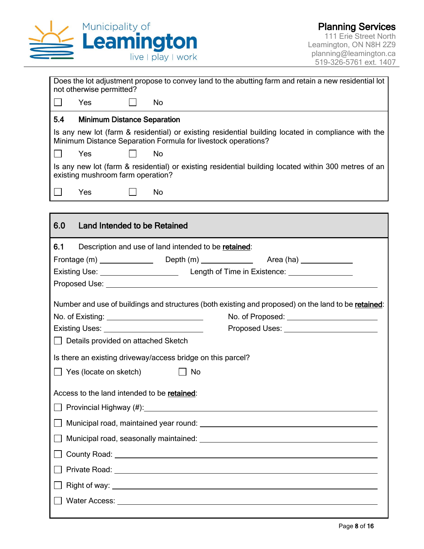

| Does the lot adjustment propose to convey land to the abutting farm and retain a new residential lot<br>not otherwise permitted?                                                                                                                                |
|-----------------------------------------------------------------------------------------------------------------------------------------------------------------------------------------------------------------------------------------------------------------|
| $\Box$<br>Yes<br>No                                                                                                                                                                                                                                             |
|                                                                                                                                                                                                                                                                 |
| 5.4<br><b>Minimum Distance Separation</b>                                                                                                                                                                                                                       |
| Is any new lot (farm & residential) or existing residential building located in compliance with the<br>Minimum Distance Separation Formula for livestock operations?                                                                                            |
| <b>No</b><br>Yes                                                                                                                                                                                                                                                |
| Is any new lot (farm & residential) or existing residential building located within 300 metres of an<br>existing mushroom farm operation?                                                                                                                       |
| Yes<br>No                                                                                                                                                                                                                                                       |
|                                                                                                                                                                                                                                                                 |
|                                                                                                                                                                                                                                                                 |
| 6.0<br><b>Land Intended to be Retained</b>                                                                                                                                                                                                                      |
| 6.1<br>Description and use of land intended to be retained:                                                                                                                                                                                                     |
|                                                                                                                                                                                                                                                                 |
|                                                                                                                                                                                                                                                                 |
| Proposed Use: Note: Note: Note: Note: Note: Note: Note: Note: Note: Note: Note: Note: Note: Note: No                                                                                                                                                            |
|                                                                                                                                                                                                                                                                 |
| Number and use of buildings and structures (both existing and proposed) on the land to be retained:                                                                                                                                                             |
| No. of Proposed: No. 06<br>No. of Existing: ___________________________                                                                                                                                                                                         |
| Proposed Uses: The Contract of the Contract of the Contract of the Contract of the Contract of the Contract of the Contract of the Contract of the Contract of the Contract of the Contract of the Contract of the Contract of<br>Existing Uses: Existing Uses: |
| Details provided on attached Sketch                                                                                                                                                                                                                             |
| Is there an existing driveway/access bridge on this parcel?                                                                                                                                                                                                     |
| $\Box$ Yes (locate on sketch)<br>No                                                                                                                                                                                                                             |
| Access to the land intended to be retained:                                                                                                                                                                                                                     |
|                                                                                                                                                                                                                                                                 |
|                                                                                                                                                                                                                                                                 |

□ Municipal road, seasonally maintained:<br>□ Municipal road, seasonally maintained:

□ County Road: <u>University</u> Road: 2000 No. 2000 No. 2000 No. 2000 No. 2000 No. 2000 No. 2000 No. 2000 No. 2000 No. 2000 No. 2000 No. 2000 No. 2000 No. 2000 No. 2000 No. 2000 No. 2000 No. 2000 No. 2000 No. 2000 No. 2000 No

Private Road:

Right of way:

Water Access: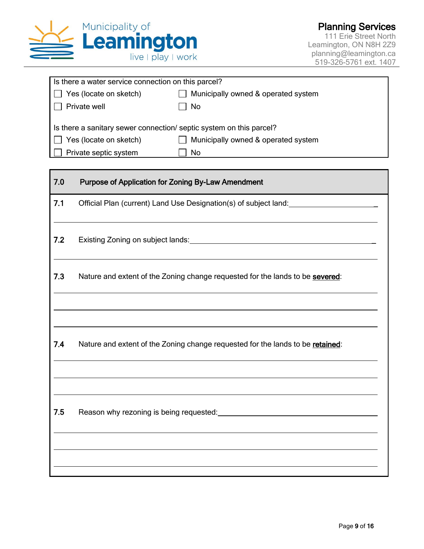

| Is there a water service connection on this parcel?                 |                                                                  |  |  |
|---------------------------------------------------------------------|------------------------------------------------------------------|--|--|
| Yes (locate on sketch)                                              | Municipally owned & operated system                              |  |  |
| Private well                                                        | No                                                               |  |  |
|                                                                     |                                                                  |  |  |
| Is there a sanitary sewer connection/ septic system on this parcel? |                                                                  |  |  |
| Yes (locate on sketch)                                              | Municipally owned & operated system                              |  |  |
| Private septic system<br>No                                         |                                                                  |  |  |
|                                                                     |                                                                  |  |  |
| 7.0<br><b>Purpose of Application for Zoning By-Law Amendment</b>    |                                                                  |  |  |
| 7.1                                                                 | Official Plan (current) Land Use Designation(s) of subject land: |  |  |

7.2 Existing Zoning on subject lands:<br>
<u>Factor</u>

7.3 Nature and extent of the Zoning change requested for the lands to be severed:

7.4 Nature and extent of the Zoning change requested for the lands to be retained:

7.5 Reason why rezoning is being requested: The manuscription of the set of the set of the set of the set of the set of the set of the set of the set of the set of the set of the set of the set of the set of the set of the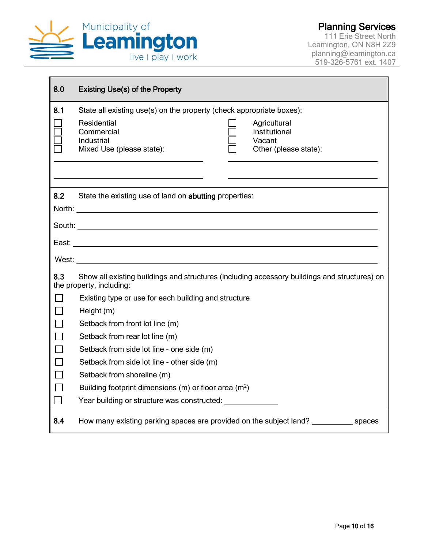

| 8.0    | <b>Existing Use(s) of the Property</b>                                                                                                                                                                                         |  |  |
|--------|--------------------------------------------------------------------------------------------------------------------------------------------------------------------------------------------------------------------------------|--|--|
| 8.1    | State all existing use(s) on the property (check appropriate boxes):                                                                                                                                                           |  |  |
|        | Residential<br>Agricultural<br>Institutional<br>Commercial<br>Industrial<br>Vacant<br>Other (please state):<br>Mixed Use (please state):                                                                                       |  |  |
| 8.2    | State the existing use of land on abutting properties:                                                                                                                                                                         |  |  |
|        |                                                                                                                                                                                                                                |  |  |
|        |                                                                                                                                                                                                                                |  |  |
|        | West: West: 2008 and 2008 and 2008 and 2008 and 2008 and 2008 and 2008 and 2008 and 2008 and 2008 and 2008 and 2008 and 2008 and 2008 and 2008 and 2008 and 2008 and 2008 and 2008 and 2008 and 2008 and 2008 and 2008 and 200 |  |  |
| 8.3    | Show all existing buildings and structures (including accessory buildings and structures) on<br>the property, including:                                                                                                       |  |  |
| $\Box$ | Existing type or use for each building and structure                                                                                                                                                                           |  |  |
|        | Height (m)                                                                                                                                                                                                                     |  |  |
|        | Setback from front lot line (m)                                                                                                                                                                                                |  |  |
|        | Setback from rear lot line (m)                                                                                                                                                                                                 |  |  |
| $\Box$ | Setback from side lot line - one side (m)                                                                                                                                                                                      |  |  |
|        | Setback from side lot line - other side (m)                                                                                                                                                                                    |  |  |
|        | Setback from shoreline (m)                                                                                                                                                                                                     |  |  |
|        | Building footprint dimensions (m) or floor area (m <sup>2</sup> )                                                                                                                                                              |  |  |
| $\Box$ | Year building or structure was constructed:                                                                                                                                                                                    |  |  |
| 8.4    | How many existing parking spaces are provided on the subject land? ____________ spaces                                                                                                                                         |  |  |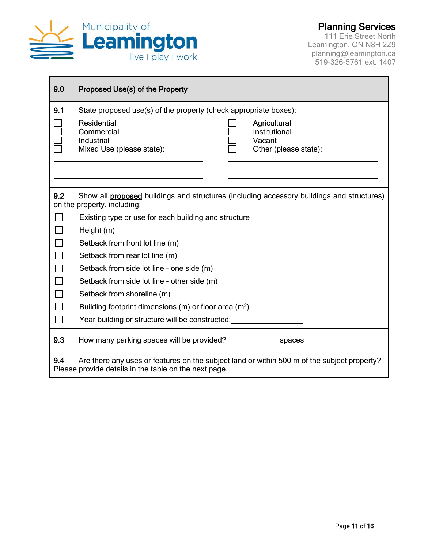

| 9.0                         | Proposed Use(s) of the Property                                                                                                                      |
|-----------------------------|------------------------------------------------------------------------------------------------------------------------------------------------------|
| 9.1                         | State proposed use(s) of the property (check appropriate boxes):                                                                                     |
|                             | Residential<br>Agricultural<br>Institutional<br>Commercial<br>Industrial<br>Vacant<br>Mixed Use (please state):<br>Other (please state):             |
|                             |                                                                                                                                                      |
| 9.2                         | Show all <b>proposed</b> buildings and structures (including accessory buildings and structures)<br>on the property, including:                      |
|                             | Existing type or use for each building and structure                                                                                                 |
|                             | Height (m)                                                                                                                                           |
|                             | Setback from front lot line (m)                                                                                                                      |
| $\mathcal{L}_{\mathcal{A}}$ | Setback from rear lot line (m)                                                                                                                       |
| $\mathbb{R}^n$              | Setback from side lot line - one side (m)                                                                                                            |
|                             | Setback from side lot line - other side (m)                                                                                                          |
|                             | Setback from shoreline (m)                                                                                                                           |
|                             | Building footprint dimensions (m) or floor area $(m^2)$                                                                                              |
|                             | Year building or structure will be constructed:                                                                                                      |
| 9.3                         |                                                                                                                                                      |
| 9.4                         | Are there any uses or features on the subject land or within 500 m of the subject property?<br>Please provide details in the table on the next page. |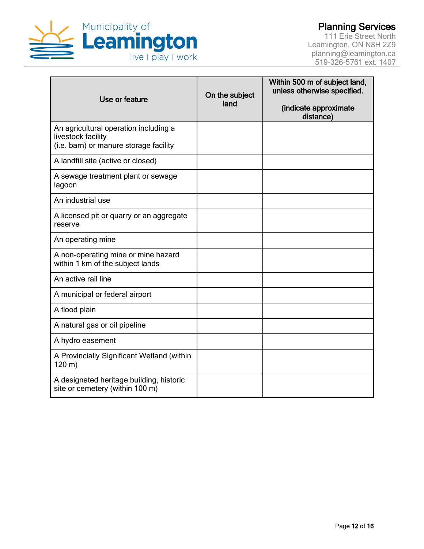

| Use or feature                                                                                        | On the subject<br>land | Within 500 m of subject land,<br>unless otherwise specified.<br>(indicate approximate<br>distance) |
|-------------------------------------------------------------------------------------------------------|------------------------|----------------------------------------------------------------------------------------------------|
| An agricultural operation including a<br>livestock facility<br>(i.e. barn) or manure storage facility |                        |                                                                                                    |
| A landfill site (active or closed)                                                                    |                        |                                                                                                    |
| A sewage treatment plant or sewage<br>lagoon                                                          |                        |                                                                                                    |
| An industrial use                                                                                     |                        |                                                                                                    |
| A licensed pit or quarry or an aggregate<br>reserve                                                   |                        |                                                                                                    |
| An operating mine                                                                                     |                        |                                                                                                    |
| A non-operating mine or mine hazard<br>within 1 km of the subject lands                               |                        |                                                                                                    |
| An active rail line                                                                                   |                        |                                                                                                    |
| A municipal or federal airport                                                                        |                        |                                                                                                    |
| A flood plain                                                                                         |                        |                                                                                                    |
| A natural gas or oil pipeline                                                                         |                        |                                                                                                    |
| A hydro easement                                                                                      |                        |                                                                                                    |
| A Provincially Significant Wetland (within<br>120 m)                                                  |                        |                                                                                                    |
| A designated heritage building, historic<br>site or cemetery (within 100 m)                           |                        |                                                                                                    |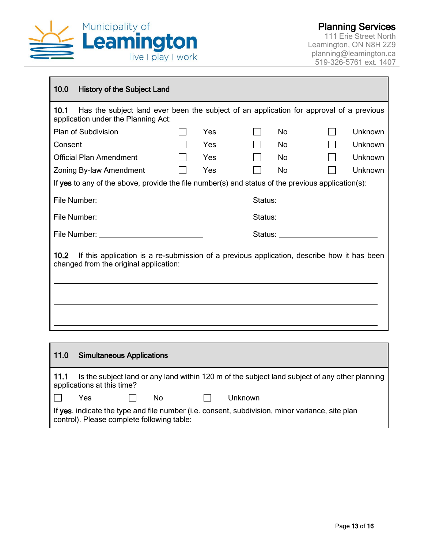

### 10.0 History of the Subject Land

10.1 Has the subject land ever been the subject of an application for approval of a previous application under the Planning Act:

| <b>Plan of Subdivision</b>     | Yes        | No.            | <b>Unknown</b> |
|--------------------------------|------------|----------------|----------------|
| Consent                        | <b>Yes</b> | No.            | Unknown        |
| <b>Official Plan Amendment</b> | Yes        | N <sub>0</sub> | <b>Unknown</b> |
| Zoning By-law Amendment        | Yes        | No.            | <b>Unknown</b> |

If yes to any of the above, provide the file number(s) and status of the previous application(s):

| File Number: | Status: |
|--------------|---------|
| File Number: | Status: |
| File Number: | Status: |

10.2 If this application is a re-submission of a previous application, describe how it has been changed from the original application:

## 11.0 Simultaneous Applications

|                                                                                                                                               | applications at this time? |  |     |  | 11.1 Is the subject land or any land within 120 m of the subject land subject of any other planning |
|-----------------------------------------------------------------------------------------------------------------------------------------------|----------------------------|--|-----|--|-----------------------------------------------------------------------------------------------------|
| $\mathbf{1}$                                                                                                                                  | Yes                        |  | No. |  | Unknown                                                                                             |
| If yes, indicate the type and file number (i.e. consent, subdivision, minor variance, site plan<br>control). Please complete following table: |                            |  |     |  |                                                                                                     |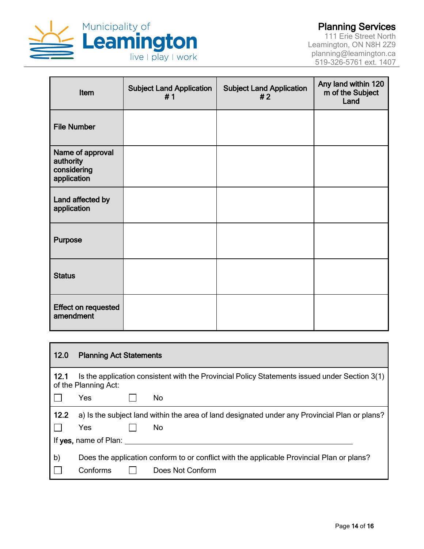

| Item                                                        | <b>Subject Land Application</b><br>#1 | <b>Subject Land Application</b><br>#2 | Any land within 120<br>m of the Subject<br>Land |
|-------------------------------------------------------------|---------------------------------------|---------------------------------------|-------------------------------------------------|
| <b>File Number</b>                                          |                                       |                                       |                                                 |
| Name of approval<br>authority<br>considering<br>application |                                       |                                       |                                                 |
| Land affected by<br>application                             |                                       |                                       |                                                 |
| Purpose                                                     |                                       |                                       |                                                 |
| <b>Status</b>                                               |                                       |                                       |                                                 |
| <b>Effect on requested</b><br>amendment                     |                                       |                                       |                                                 |

| 12.0 | <b>Planning Act Statements</b>                                                                                        |  |                                                                                               |  |  |
|------|-----------------------------------------------------------------------------------------------------------------------|--|-----------------------------------------------------------------------------------------------|--|--|
| 12.1 | Is the application consistent with the Provincial Policy Statements issued under Section 3(1)<br>of the Planning Act: |  |                                                                                               |  |  |
|      | Yes                                                                                                                   |  | No                                                                                            |  |  |
| 12.2 |                                                                                                                       |  | a) Is the subject land within the area of land designated under any Provincial Plan or plans? |  |  |
|      | Yes                                                                                                                   |  | No                                                                                            |  |  |
|      | If yes, name of Plan:                                                                                                 |  |                                                                                               |  |  |
| b)   |                                                                                                                       |  | Does the application conform to or conflict with the applicable Provincial Plan or plans?     |  |  |
|      | Conforms                                                                                                              |  | Does Not Conform                                                                              |  |  |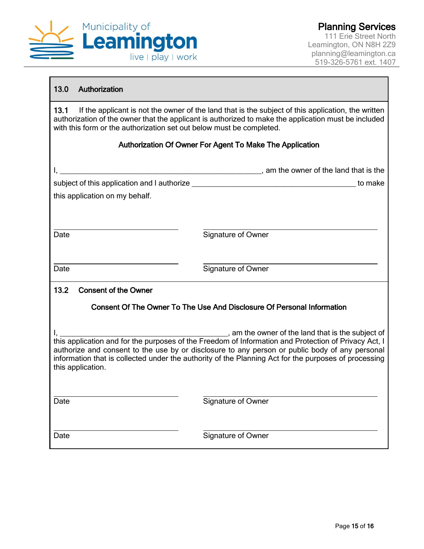

### 13.0 Authorization

13.1 If the applicant is not the owner of the land that is the subject of this application, the written authorization of the owner that the applicant is authorized to make the application must be included with this form or the authorization set out below must be completed.

### Authorization Of Owner For Agent To Make The Application

|                                                                                                                                                                                                                                                                                                                                           | am the owner of the land that is the                                   |  |  |  |
|-------------------------------------------------------------------------------------------------------------------------------------------------------------------------------------------------------------------------------------------------------------------------------------------------------------------------------------------|------------------------------------------------------------------------|--|--|--|
| subject of this application and I authorize example and the state of this control of the state of the state of                                                                                                                                                                                                                            | to make                                                                |  |  |  |
| this application on my behalf.                                                                                                                                                                                                                                                                                                            |                                                                        |  |  |  |
|                                                                                                                                                                                                                                                                                                                                           |                                                                        |  |  |  |
| Date                                                                                                                                                                                                                                                                                                                                      | Signature of Owner                                                     |  |  |  |
| Date                                                                                                                                                                                                                                                                                                                                      | Signature of Owner                                                     |  |  |  |
| <b>Consent of the Owner</b><br>13.2                                                                                                                                                                                                                                                                                                       |                                                                        |  |  |  |
|                                                                                                                                                                                                                                                                                                                                           | Consent Of The Owner To The Use And Disclosure Of Personal Information |  |  |  |
| I, 1. Also application and for the purposes of the Freedom of Information and Protection of Privacy Act, I<br>authorize and consent to the use by or disclosure to any person or public body of any personal<br>information that is collected under the authority of the Planning Act for the purposes of processing<br>this application. |                                                                        |  |  |  |
| Date                                                                                                                                                                                                                                                                                                                                      | <b>Signature of Owner</b>                                              |  |  |  |
| Date                                                                                                                                                                                                                                                                                                                                      | <b>Signature of Owner</b>                                              |  |  |  |